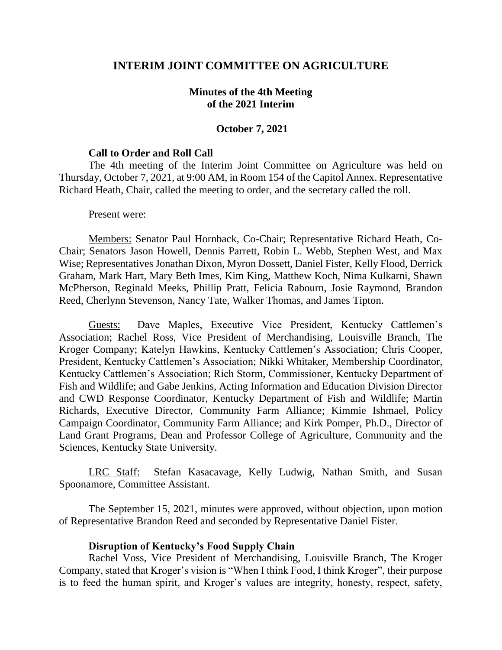## **INTERIM JOINT COMMITTEE ON AGRICULTURE**

## **Minutes of the 4th Meeting of the 2021 Interim**

### **October 7, 2021**

### **Call to Order and Roll Call**

The 4th meeting of the Interim Joint Committee on Agriculture was held on Thursday, October 7, 2021, at 9:00 AM, in Room 154 of the Capitol Annex. Representative Richard Heath, Chair, called the meeting to order, and the secretary called the roll.

#### Present were:

Members: Senator Paul Hornback, Co-Chair; Representative Richard Heath, Co-Chair; Senators Jason Howell, Dennis Parrett, Robin L. Webb, Stephen West, and Max Wise; Representatives Jonathan Dixon, Myron Dossett, Daniel Fister, Kelly Flood, Derrick Graham, Mark Hart, Mary Beth Imes, Kim King, Matthew Koch, Nima Kulkarni, Shawn McPherson, Reginald Meeks, Phillip Pratt, Felicia Rabourn, Josie Raymond, Brandon Reed, Cherlynn Stevenson, Nancy Tate, Walker Thomas, and James Tipton.

Guests: Dave Maples, Executive Vice President, Kentucky Cattlemen's Association; Rachel Ross, Vice President of Merchandising, Louisville Branch, The Kroger Company; Katelyn Hawkins, Kentucky Cattlemen's Association; Chris Cooper, President, Kentucky Cattlemen's Association; Nikki Whitaker, Membership Coordinator, Kentucky Cattlemen's Association; Rich Storm, Commissioner, Kentucky Department of Fish and Wildlife; and Gabe Jenkins, Acting Information and Education Division Director and CWD Response Coordinator, Kentucky Department of Fish and Wildlife; Martin Richards, Executive Director, Community Farm Alliance; Kimmie Ishmael, Policy Campaign Coordinator, Community Farm Alliance; and Kirk Pomper, Ph.D., Director of Land Grant Programs, Dean and Professor College of Agriculture, Community and the Sciences, Kentucky State University.

LRC Staff: Stefan Kasacavage, Kelly Ludwig, Nathan Smith, and Susan Spoonamore, Committee Assistant.

The September 15, 2021, minutes were approved, without objection, upon motion of Representative Brandon Reed and seconded by Representative Daniel Fister.

### **Disruption of Kentucky's Food Supply Chain**

Rachel Voss, Vice President of Merchandising, Louisville Branch, The Kroger Company, stated that Kroger's vision is "When I think Food, I think Kroger", their purpose is to feed the human spirit, and Kroger's values are integrity, honesty, respect, safety,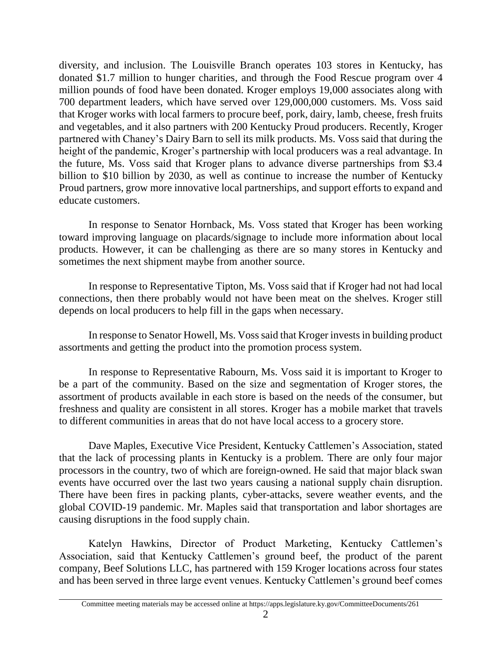diversity, and inclusion. The Louisville Branch operates 103 stores in Kentucky, has donated \$1.7 million to hunger charities, and through the Food Rescue program over 4 million pounds of food have been donated. Kroger employs 19,000 associates along with 700 department leaders, which have served over 129,000,000 customers. Ms. Voss said that Kroger works with local farmers to procure beef, pork, dairy, lamb, cheese, fresh fruits and vegetables, and it also partners with 200 Kentucky Proud producers. Recently, Kroger partnered with Chaney's Dairy Barn to sell its milk products. Ms. Voss said that during the height of the pandemic, Kroger's partnership with local producers was a real advantage. In the future, Ms. Voss said that Kroger plans to advance diverse partnerships from \$3.4 billion to \$10 billion by 2030, as well as continue to increase the number of Kentucky Proud partners, grow more innovative local partnerships, and support efforts to expand and educate customers.

In response to Senator Hornback, Ms. Voss stated that Kroger has been working toward improving language on placards/signage to include more information about local products. However, it can be challenging as there are so many stores in Kentucky and sometimes the next shipment maybe from another source.

In response to Representative Tipton, Ms. Voss said that if Kroger had not had local connections, then there probably would not have been meat on the shelves. Kroger still depends on local producers to help fill in the gaps when necessary.

In response to Senator Howell, Ms. Voss said that Kroger invests in building product assortments and getting the product into the promotion process system.

In response to Representative Rabourn, Ms. Voss said it is important to Kroger to be a part of the community. Based on the size and segmentation of Kroger stores, the assortment of products available in each store is based on the needs of the consumer, but freshness and quality are consistent in all stores. Kroger has a mobile market that travels to different communities in areas that do not have local access to a grocery store.

Dave Maples, Executive Vice President, Kentucky Cattlemen's Association, stated that the lack of processing plants in Kentucky is a problem. There are only four major processors in the country, two of which are foreign-owned. He said that major black swan events have occurred over the last two years causing a national supply chain disruption. There have been fires in packing plants, cyber-attacks, severe weather events, and the global COVID-19 pandemic. Mr. Maples said that transportation and labor shortages are causing disruptions in the food supply chain.

Katelyn Hawkins, Director of Product Marketing, Kentucky Cattlemen's Association, said that Kentucky Cattlemen's ground beef, the product of the parent company, Beef Solutions LLC, has partnered with 159 Kroger locations across four states and has been served in three large event venues. Kentucky Cattlemen's ground beef comes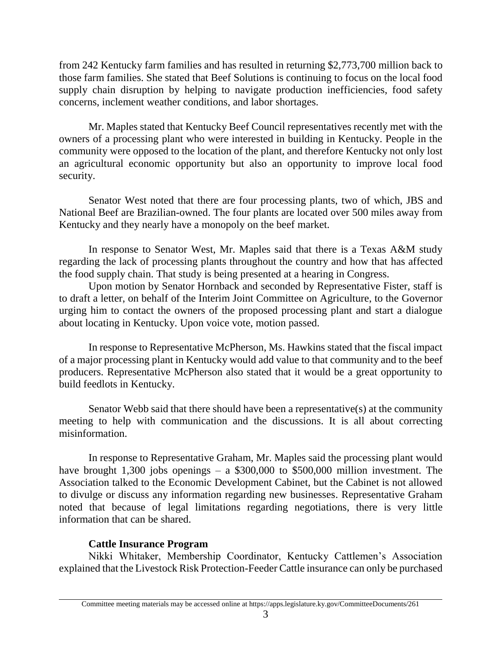from 242 Kentucky farm families and has resulted in returning \$2,773,700 million back to those farm families. She stated that Beef Solutions is continuing to focus on the local food supply chain disruption by helping to navigate production inefficiencies, food safety concerns, inclement weather conditions, and labor shortages.

Mr. Maples stated that Kentucky Beef Council representatives recently met with the owners of a processing plant who were interested in building in Kentucky. People in the community were opposed to the location of the plant, and therefore Kentucky not only lost an agricultural economic opportunity but also an opportunity to improve local food security.

Senator West noted that there are four processing plants, two of which, JBS and National Beef are Brazilian-owned. The four plants are located over 500 miles away from Kentucky and they nearly have a monopoly on the beef market.

In response to Senator West, Mr. Maples said that there is a Texas A&M study regarding the lack of processing plants throughout the country and how that has affected the food supply chain. That study is being presented at a hearing in Congress.

Upon motion by Senator Hornback and seconded by Representative Fister, staff is to draft a letter, on behalf of the Interim Joint Committee on Agriculture, to the Governor urging him to contact the owners of the proposed processing plant and start a dialogue about locating in Kentucky. Upon voice vote, motion passed.

In response to Representative McPherson, Ms. Hawkins stated that the fiscal impact of a major processing plant in Kentucky would add value to that community and to the beef producers. Representative McPherson also stated that it would be a great opportunity to build feedlots in Kentucky.

Senator Webb said that there should have been a representative(s) at the community meeting to help with communication and the discussions. It is all about correcting misinformation.

In response to Representative Graham, Mr. Maples said the processing plant would have brought 1,300 jobs openings – a  $$300,000$  to  $$500,000$  million investment. The Association talked to the Economic Development Cabinet, but the Cabinet is not allowed to divulge or discuss any information regarding new businesses. Representative Graham noted that because of legal limitations regarding negotiations, there is very little information that can be shared.

# **Cattle Insurance Program**

Nikki Whitaker, Membership Coordinator, Kentucky Cattlemen's Association explained that the Livestock Risk Protection-Feeder Cattle insurance can only be purchased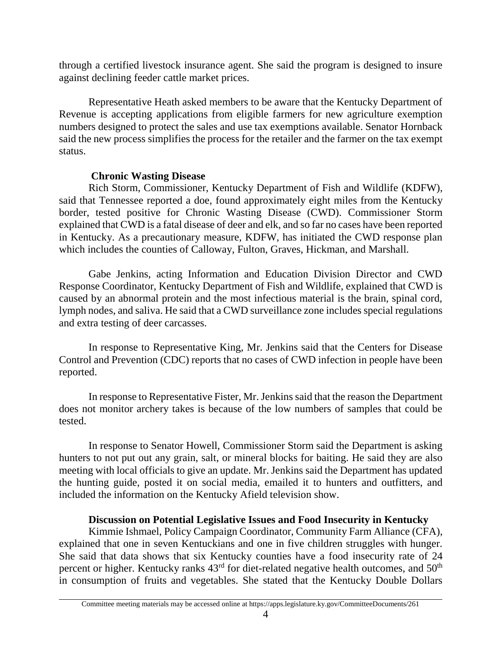through a certified livestock insurance agent. She said the program is designed to insure against declining feeder cattle market prices.

Representative Heath asked members to be aware that the Kentucky Department of Revenue is accepting applications from eligible farmers for new agriculture exemption numbers designed to protect the sales and use tax exemptions available. Senator Hornback said the new process simplifies the process for the retailer and the farmer on the tax exempt status.

# **Chronic Wasting Disease**

Rich Storm, Commissioner, Kentucky Department of Fish and Wildlife (KDFW), said that Tennessee reported a doe, found approximately eight miles from the Kentucky border, tested positive for Chronic Wasting Disease (CWD). Commissioner Storm explained that CWD is a fatal disease of deer and elk, and so far no cases have been reported in Kentucky. As a precautionary measure, KDFW, has initiated the CWD response plan which includes the counties of Calloway, Fulton, Graves, Hickman, and Marshall.

Gabe Jenkins, acting Information and Education Division Director and CWD Response Coordinator, Kentucky Department of Fish and Wildlife, explained that CWD is caused by an abnormal protein and the most infectious material is the brain, spinal cord, lymph nodes, and saliva. He said that a CWD surveillance zone includes special regulations and extra testing of deer carcasses.

In response to Representative King, Mr. Jenkins said that the Centers for Disease Control and Prevention (CDC) reports that no cases of CWD infection in people have been reported.

In response to Representative Fister, Mr. Jenkins said that the reason the Department does not monitor archery takes is because of the low numbers of samples that could be tested.

In response to Senator Howell, Commissioner Storm said the Department is asking hunters to not put out any grain, salt, or mineral blocks for baiting. He said they are also meeting with local officials to give an update. Mr. Jenkins said the Department has updated the hunting guide, posted it on social media, emailed it to hunters and outfitters, and included the information on the Kentucky Afield television show.

# **Discussion on Potential Legislative Issues and Food Insecurity in Kentucky**

Kimmie Ishmael, Policy Campaign Coordinator, Community Farm Alliance (CFA), explained that one in seven Kentuckians and one in five children struggles with hunger. She said that data shows that six Kentucky counties have a food insecurity rate of 24 percent or higher. Kentucky ranks  $43<sup>rd</sup>$  for diet-related negative health outcomes, and  $50<sup>th</sup>$ in consumption of fruits and vegetables. She stated that the Kentucky Double Dollars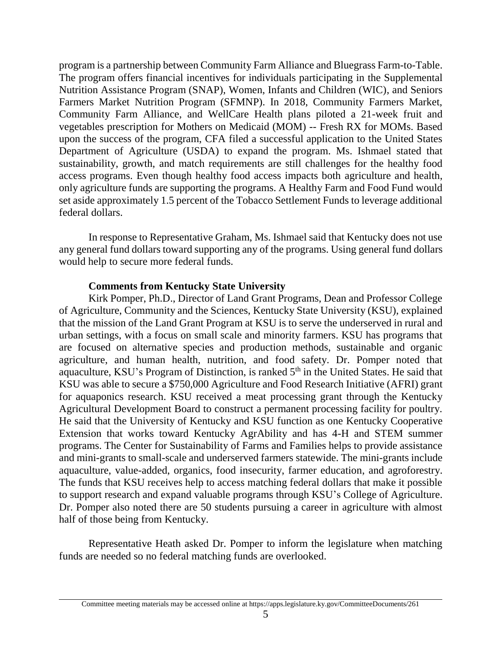program is a partnership between Community Farm Alliance and Bluegrass Farm-to-Table. The program offers financial incentives for individuals participating in the Supplemental Nutrition Assistance Program (SNAP), Women, Infants and Children (WIC), and Seniors Farmers Market Nutrition Program (SFMNP). In 2018, Community Farmers Market, Community Farm Alliance, and WellCare Health plans piloted a 21-week fruit and vegetables prescription for Mothers on Medicaid (MOM) -- Fresh RX for MOMs. Based upon the success of the program, CFA filed a successful application to the United States Department of Agriculture (USDA) to expand the program. Ms. Ishmael stated that sustainability, growth, and match requirements are still challenges for the healthy food access programs. Even though healthy food access impacts both agriculture and health, only agriculture funds are supporting the programs. A Healthy Farm and Food Fund would set aside approximately 1.5 percent of the Tobacco Settlement Funds to leverage additional federal dollars.

In response to Representative Graham, Ms. Ishmael said that Kentucky does not use any general fund dollars toward supporting any of the programs. Using general fund dollars would help to secure more federal funds.

## **Comments from Kentucky State University**

Kirk Pomper, Ph.D., Director of Land Grant Programs, Dean and Professor College of Agriculture, Community and the Sciences, Kentucky State University (KSU), explained that the mission of the Land Grant Program at KSU is to serve the underserved in rural and urban settings, with a focus on small scale and minority farmers. KSU has programs that are focused on alternative species and production methods, sustainable and organic agriculture, and human health, nutrition, and food safety. Dr. Pomper noted that aquaculture, KSU's Program of Distinction, is ranked 5<sup>th</sup> in the United States. He said that KSU was able to secure a \$750,000 Agriculture and Food Research Initiative (AFRI) grant for aquaponics research. KSU received a meat processing grant through the Kentucky Agricultural Development Board to construct a permanent processing facility for poultry. He said that the University of Kentucky and KSU function as one Kentucky Cooperative Extension that works toward Kentucky AgrAbility and has 4-H and STEM summer programs. The Center for Sustainability of Farms and Families helps to provide assistance and mini-grants to small-scale and underserved farmers statewide. The mini-grants include aquaculture, value-added, organics, food insecurity, farmer education, and agroforestry. The funds that KSU receives help to access matching federal dollars that make it possible to support research and expand valuable programs through KSU's College of Agriculture. Dr. Pomper also noted there are 50 students pursuing a career in agriculture with almost half of those being from Kentucky.

Representative Heath asked Dr. Pomper to inform the legislature when matching funds are needed so no federal matching funds are overlooked.

Committee meeting materials may be accessed online at https://apps.legislature.ky.gov/CommitteeDocuments/261